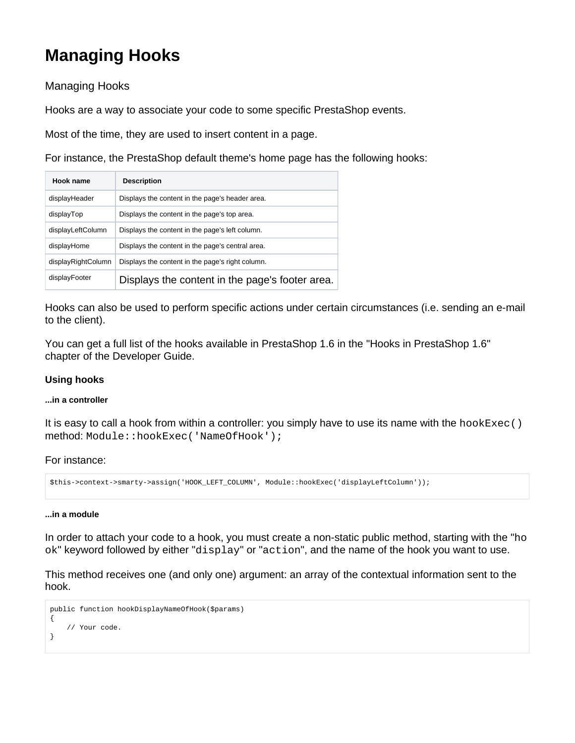# **Managing Hooks**

Managing Hooks

Hooks are a way to associate your code to some specific PrestaShop events.

Most of the time, they are used to insert content in a page.

For instance, the PrestaShop default theme's home page has the following hooks:

| Hook name          | <b>Description</b>                               |
|--------------------|--------------------------------------------------|
| displayHeader      | Displays the content in the page's header area.  |
| displayTop         | Displays the content in the page's top area.     |
| displayLeftColumn  | Displays the content in the page's left column.  |
| displayHome        | Displays the content in the page's central area. |
| displayRightColumn | Displays the content in the page's right column. |
| displayFooter      | Displays the content in the page's footer area.  |

Hooks can also be used to perform specific actions under certain circumstances (i.e. sending an e-mail to the client).

You can get a full list of the hooks available in PrestaShop 1.6 in the "Hooks in PrestaShop 1.6" chapter of the Developer Guide.

## **Using hooks**

### **...in a controller**

It is easy to call a hook from within a controller: you simply have to use its name with the  $hookive$  () method: Module::hookExec('NameOfHook');

For instance:

```
$this->context->smarty->assign('HOOK_LEFT_COLUMN', Module::hookExec('displayLeftColumn'));
```
### **...in a module**

In order to attach your code to a hook, you must create a non-static public method, starting with the "ho ok" keyword followed by either "display" or "action", and the name of the hook you want to use.

This method receives one (and only one) argument: an array of the contextual information sent to the hook.

```
public function hookDisplayNameOfHook($params)
{
     // Your code.
}
```